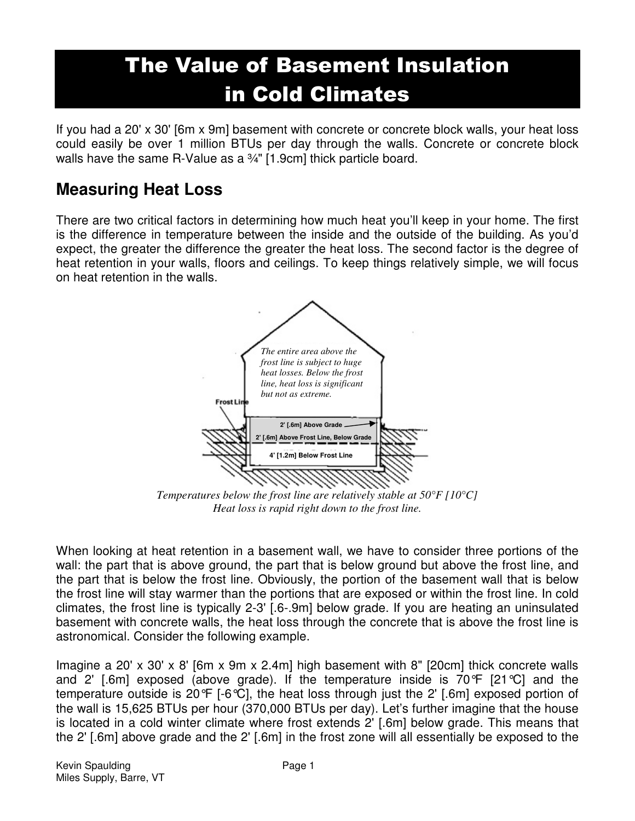# The Value of Basement Insulation in Cold Climates

If you had a 20' x 30' [6m x 9m] basement with concrete or concrete block walls, your heat loss could easily be over 1 million BTUs per day through the walls. Concrete or concrete block walls have the same R-Value as a 3/4" [1.9cm] thick particle board.

#### **Measuring Heat Loss**

There are two critical factors in determining how much heat you'll keep in your home. The first is the difference in temperature between the inside and the outside of the building. As you'd expect, the greater the difference the greater the heat loss. The second factor is the degree of heat retention in your walls, floors and ceilings. To keep things relatively simple, we will focus on heat retention in the walls.



*Temperatures below the frost line are relatively stable at 50°F [10°C] Heat loss is rapid right down to the frost line.* 

When looking at heat retention in a basement wall, we have to consider three portions of the wall: the part that is above ground, the part that is below ground but above the frost line, and the part that is below the frost line. Obviously, the portion of the basement wall that is below the frost line will stay warmer than the portions that are exposed or within the frost line. In cold climates, the frost line is typically 2-3' [.6-.9m] below grade. If you are heating an uninsulated basement with concrete walls, the heat loss through the concrete that is above the frost line is astronomical. Consider the following example.

Imagine a 20' x 30' x 8' [6m x 9m x 2.4m] high basement with 8" [20cm] thick concrete walls and 2' [.6m] exposed (above grade). If the temperature inside is 70°F [21°C] and the temperature outside is 20°F [-6°C], the heat loss through just the 2' [.6m] exposed portion of the wall is 15,625 BTUs per hour (370,000 BTUs per day). Let's further imagine that the house is located in a cold winter climate where frost extends 2' [.6m] below grade. This means that the 2' [.6m] above grade and the 2' [.6m] in the frost zone will all essentially be exposed to the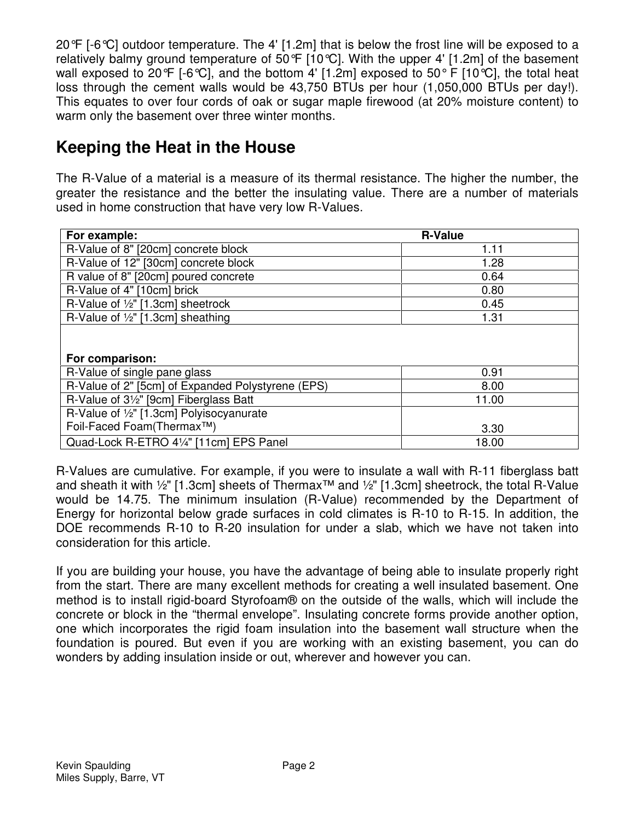20°F [-6°C] outdoor temperature. The 4' [1.2m] that is below the frost line will be exposed to a relatively balmy ground temperature of 50 $\mathcal{F}$  [10 $\mathcal{C}$ ]. With the upper 4' [1.2m] of the basement wall exposed to 20 $\mathcal{F}$  [-6 $\mathcal{C}$ ], and the bottom 4' [1.2m] exposed to 50 $\mathcal{F}$  [10 $\mathcal{C}$ ], the total heat loss through the cement walls would be 43,750 BTUs per hour (1,050,000 BTUs per day!). This equates to over four cords of oak or sugar maple firewood (at 20% moisture content) to warm only the basement over three winter months.

### **Keeping the Heat in the House**

The R-Value of a material is a measure of its thermal resistance. The higher the number, the greater the resistance and the better the insulating value. There are a number of materials used in home construction that have very low R-Values.

| For example:                                                     | <b>R-Value</b> |
|------------------------------------------------------------------|----------------|
| R-Value of 8" [20cm] concrete block                              | 1.11           |
| R-Value of 12" [30cm] concrete block                             | 1.28           |
| R value of 8" [20cm] poured concrete                             | 0.64           |
| R-Value of 4" [10cm] brick                                       | 0.80           |
| R-Value of 1/2" [1.3cm] sheetrock                                | 0.45           |
| R-Value of 1/2" [1.3cm] sheathing                                | 1.31           |
| For comparison:                                                  |                |
| R-Value of single pane glass                                     | 0.91           |
| R-Value of 2" [5cm] of Expanded Polystyrene (EPS)                | 8.00           |
| R-Value of 3 <sup>1</sup> / <sub>2</sub> " [9cm] Fiberglass Batt | 11.00          |
| R-Value of 1/2" [1.3cm] Polyisocyanurate                         |                |
| Foil-Faced Foam(Thermax™)                                        | 3.30           |
| Quad-Lock R-ETRO 41/4" [11cm] EPS Panel                          | 18.00          |

R-Values are cumulative. For example, if you were to insulate a wall with R-11 fiberglass batt and sheath it with ½" [1.3cm] sheets of Thermax™ and ½" [1.3cm] sheetrock, the total R-Value would be 14.75. The minimum insulation (R-Value) recommended by the Department of Energy for horizontal below grade surfaces in cold climates is R-10 to R-15. In addition, the DOE recommends R-10 to R-20 insulation for under a slab, which we have not taken into consideration for this article.

If you are building your house, you have the advantage of being able to insulate properly right from the start. There are many excellent methods for creating a well insulated basement. One method is to install rigid-board Styrofoam® on the outside of the walls, which will include the concrete or block in the "thermal envelope". Insulating concrete forms provide another option, one which incorporates the rigid foam insulation into the basement wall structure when the foundation is poured. But even if you are working with an existing basement, you can do wonders by adding insulation inside or out, wherever and however you can.